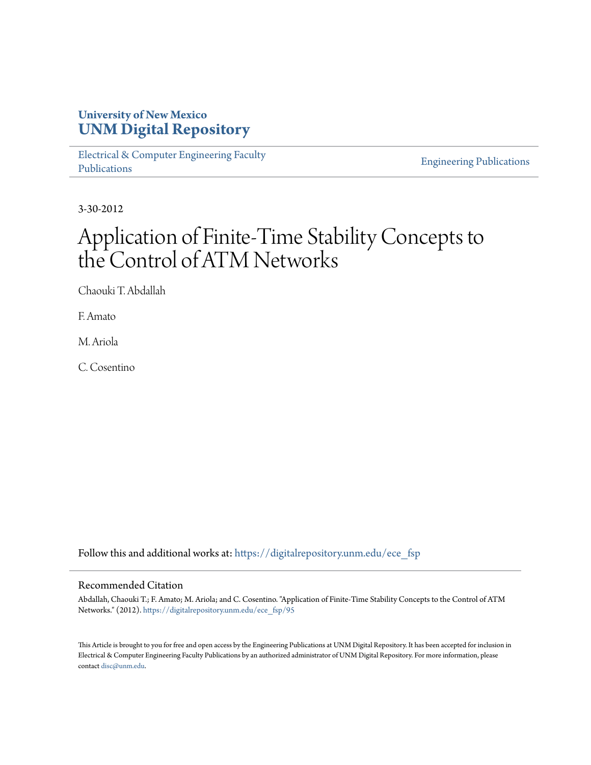### **University of New Mexico [UNM Digital Repository](https://digitalrepository.unm.edu?utm_source=digitalrepository.unm.edu%2Fece_fsp%2F95&utm_medium=PDF&utm_campaign=PDFCoverPages)**

[Electrical & Computer Engineering Faculty](https://digitalrepository.unm.edu/ece_fsp?utm_source=digitalrepository.unm.edu%2Fece_fsp%2F95&utm_medium=PDF&utm_campaign=PDFCoverPages) [Publications](https://digitalrepository.unm.edu/ece_fsp?utm_source=digitalrepository.unm.edu%2Fece_fsp%2F95&utm_medium=PDF&utm_campaign=PDFCoverPages)

[Engineering Publications](https://digitalrepository.unm.edu/eng_fsp?utm_source=digitalrepository.unm.edu%2Fece_fsp%2F95&utm_medium=PDF&utm_campaign=PDFCoverPages)

3-30-2012

# Application of Finite-Time Stability Concepts to the Control of ATM Networks

Chaouki T. Abdallah

F. Amato

M. Ariola

C. Cosentino

Follow this and additional works at: [https://digitalrepository.unm.edu/ece\\_fsp](https://digitalrepository.unm.edu/ece_fsp?utm_source=digitalrepository.unm.edu%2Fece_fsp%2F95&utm_medium=PDF&utm_campaign=PDFCoverPages)

#### Recommended Citation

Abdallah, Chaouki T.; F. Amato; M. Ariola; and C. Cosentino. "Application of Finite-Time Stability Concepts to the Control of ATM Networks." (2012). [https://digitalrepository.unm.edu/ece\\_fsp/95](https://digitalrepository.unm.edu/ece_fsp/95?utm_source=digitalrepository.unm.edu%2Fece_fsp%2F95&utm_medium=PDF&utm_campaign=PDFCoverPages)

This Article is brought to you for free and open access by the Engineering Publications at UNM Digital Repository. It has been accepted for inclusion in Electrical & Computer Engineering Faculty Publications by an authorized administrator of UNM Digital Repository. For more information, please contact [disc@unm.edu.](mailto:disc@unm.edu)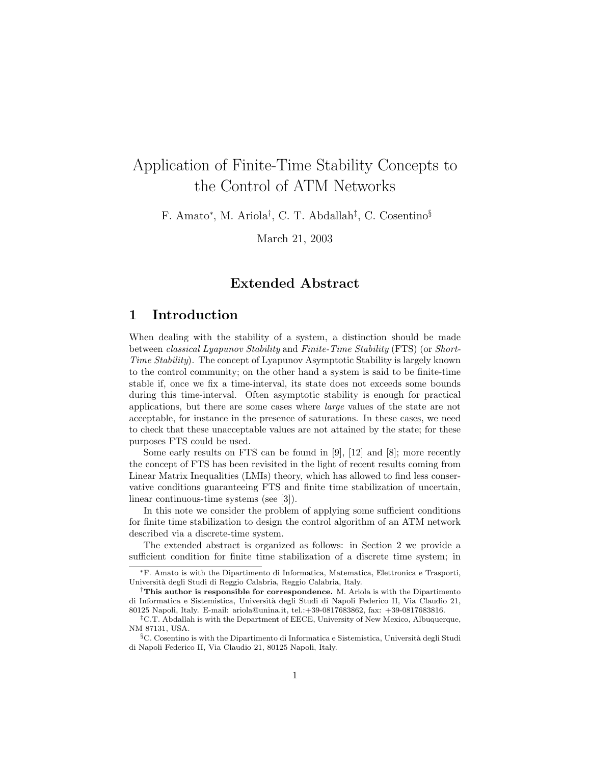## Application of Finite-Time Stability Concepts to the Control of ATM Networks

F. Amato<sup>∗</sup> , M. Ariola† , C. T. Abdallah‡ , C. Cosentino§

March 21, 2003

#### Extended Abstract

#### 1 Introduction

When dealing with the stability of a system, a distinction should be made between classical Lyapunov Stability and Finite-Time Stability (FTS) (or Short-Time Stability). The concept of Lyapunov Asymptotic Stability is largely known to the control community; on the other hand a system is said to be finite-time stable if, once we fix a time-interval, its state does not exceeds some bounds during this time-interval. Often asymptotic stability is enough for practical applications, but there are some cases where large values of the state are not acceptable, for instance in the presence of saturations. In these cases, we need to check that these unacceptable values are not attained by the state; for these purposes FTS could be used.

Some early results on FTS can be found in [9], [12] and [8]; more recently the concept of FTS has been revisited in the light of recent results coming from Linear Matrix Inequalities (LMIs) theory, which has allowed to find less conservative conditions guaranteeing FTS and finite time stabilization of uncertain, linear continuous-time systems (see [3]).

In this note we consider the problem of applying some sufficient conditions for finite time stabilization to design the control algorithm of an ATM network described via a discrete-time system.

The extended abstract is organized as follows: in Section 2 we provide a sufficient condition for finite time stabilization of a discrete time system; in

<sup>∗</sup>F. Amato is with the Dipartimento di Informatica, Matematica, Elettronica e Trasporti, Universit`a degli Studi di Reggio Calabria, Reggio Calabria, Italy.

<sup>&</sup>lt;sup>†</sup>This author is responsible for correspondence. M. Ariola is with the Dipartimento di Informatica e Sistemistica, Università degli Studi di Napoli Federico II, Via Claudio 21, 80125 Napoli, Italy. E-mail: ariola@unina.it, tel.:+39-0817683862, fax: +39-0817683816.

<sup>‡</sup>C.T. Abdallah is with the Department of EECE, University of New Mexico, Albuquerque, NM 87131, USA.

 $\S$ C. Cosentino is with the Dipartimento di Informatica e Sistemistica, Università degli Studi di Napoli Federico II, Via Claudio 21, 80125 Napoli, Italy.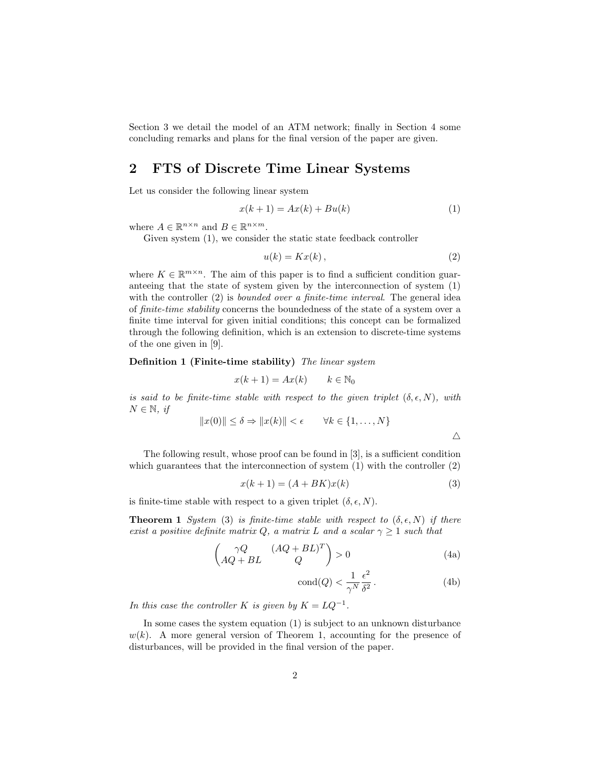Section 3 we detail the model of an ATM network; finally in Section 4 some concluding remarks and plans for the final version of the paper are given.

#### 2 FTS of Discrete Time Linear Systems

Let us consider the following linear system

$$
x(k+1) = Ax(k) + Bu(k)
$$
\n<sup>(1)</sup>

where  $A \in \mathbb{R}^{n \times n}$  and  $B \in \mathbb{R}^{n \times m}$ .

Given system (1), we consider the static state feedback controller

$$
u(k) = Kx(k),\tag{2}
$$

where  $K \in \mathbb{R}^{m \times n}$ . The aim of this paper is to find a sufficient condition guaranteeing that the state of system given by the interconnection of system (1) with the controller (2) is *bounded over a finite-time interval*. The general idea of finite-time stability concerns the boundedness of the state of a system over a finite time interval for given initial conditions; this concept can be formalized through the following definition, which is an extension to discrete-time systems of the one given in [9].

Definition 1 (Finite-time stability) The linear system

$$
x(k+1) = Ax(k) \qquad k \in \mathbb{N}_0
$$

is said to be finite-time stable with respect to the given triplet  $(\delta, \epsilon, N)$ , with  $N \in \mathbb{N}$ , if

$$
||x(0)|| \le \delta \Rightarrow ||x(k)|| < \epsilon \qquad \forall k \in \{1, ..., N\}
$$

$$
\triangle
$$

The following result, whose proof can be found in [3], is a sufficient condition which guarantees that the interconnection of system  $(1)$  with the controller  $(2)$ 

$$
x(k+1) = (A + BK)x(k)
$$
\n<sup>(3)</sup>

is finite-time stable with respect to a given triplet  $(\delta, \epsilon, N)$ .

**Theorem 1** System (3) is finite-time stable with respect to  $(\delta, \epsilon, N)$  if there exist a positive definite matrix Q, a matrix L and a scalar  $\gamma \geq 1$  such that

$$
\begin{pmatrix} \gamma Q & (AQ + BL)^T \\ AQ + BL & Q \end{pmatrix} > 0
$$
\n(4a)

$$
cond(Q) < \frac{1}{\gamma^N} \frac{\epsilon^2}{\delta^2}.
$$
 (4b)

In this case the controller K is given by  $K = LQ^{-1}$ .

In some cases the system equation (1) is subject to an unknown disturbance  $w(k)$ . A more general version of Theorem 1, accounting for the presence of disturbances, will be provided in the final version of the paper.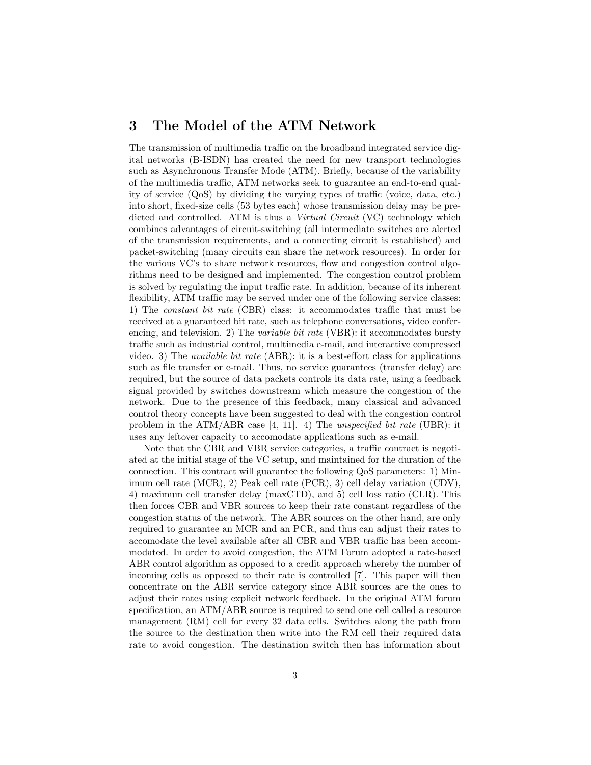#### 3 The Model of the ATM Network

The transmission of multimedia traffic on the broadband integrated service digital networks (B-ISDN) has created the need for new transport technologies such as Asynchronous Transfer Mode (ATM). Briefly, because of the variability of the multimedia traffic, ATM networks seek to guarantee an end-to-end quality of service (QoS) by dividing the varying types of traffic (voice, data, etc.) into short, fixed-size cells (53 bytes each) whose transmission delay may be predicted and controlled. ATM is thus a Virtual Circuit (VC) technology which combines advantages of circuit-switching (all intermediate switches are alerted of the transmission requirements, and a connecting circuit is established) and packet-switching (many circuits can share the network resources). In order for the various VC's to share network resources, flow and congestion control algorithms need to be designed and implemented. The congestion control problem is solved by regulating the input traffic rate. In addition, because of its inherent flexibility, ATM traffic may be served under one of the following service classes: 1) The constant bit rate (CBR) class: it accommodates traffic that must be received at a guaranteed bit rate, such as telephone conversations, video conferencing, and television. 2) The variable bit rate (VBR): it accommodates bursty traffic such as industrial control, multimedia e-mail, and interactive compressed video. 3) The available bit rate (ABR): it is a best-effort class for applications such as file transfer or e-mail. Thus, no service guarantees (transfer delay) are required, but the source of data packets controls its data rate, using a feedback signal provided by switches downstream which measure the congestion of the network. Due to the presence of this feedback, many classical and advanced control theory concepts have been suggested to deal with the congestion control problem in the ATM/ABR case [4, 11]. 4) The unspecified bit rate (UBR): it uses any leftover capacity to accomodate applications such as e-mail.

Note that the CBR and VBR service categories, a traffic contract is negotiated at the initial stage of the VC setup, and maintained for the duration of the connection. This contract will guarantee the following QoS parameters: 1) Minimum cell rate (MCR), 2) Peak cell rate (PCR), 3) cell delay variation (CDV), 4) maximum cell transfer delay (maxCTD), and 5) cell loss ratio (CLR). This then forces CBR and VBR sources to keep their rate constant regardless of the congestion status of the network. The ABR sources on the other hand, are only required to guarantee an MCR and an PCR, and thus can adjust their rates to accomodate the level available after all CBR and VBR traffic has been accommodated. In order to avoid congestion, the ATM Forum adopted a rate-based ABR control algorithm as opposed to a credit approach whereby the number of incoming cells as opposed to their rate is controlled [7]. This paper will then concentrate on the ABR service category since ABR sources are the ones to adjust their rates using explicit network feedback. In the original ATM forum specification, an ATM/ABR source is required to send one cell called a resource management (RM) cell for every 32 data cells. Switches along the path from the source to the destination then write into the RM cell their required data rate to avoid congestion. The destination switch then has information about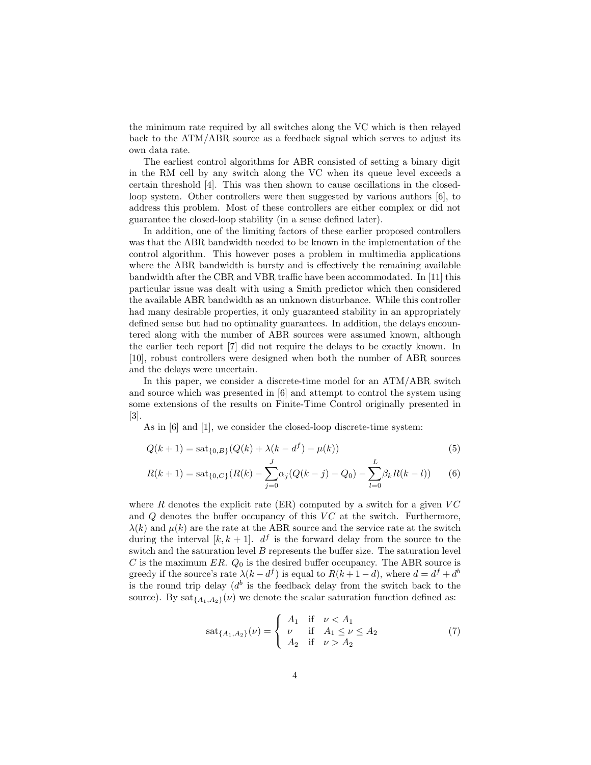the minimum rate required by all switches along the VC which is then relayed back to the ATM/ABR source as a feedback signal which serves to adjust its own data rate.

The earliest control algorithms for ABR consisted of setting a binary digit in the RM cell by any switch along the VC when its queue level exceeds a certain threshold [4]. This was then shown to cause oscillations in the closedloop system. Other controllers were then suggested by various authors [6], to address this problem. Most of these controllers are either complex or did not guarantee the closed-loop stability (in a sense defined later).

In addition, one of the limiting factors of these earlier proposed controllers was that the ABR bandwidth needed to be known in the implementation of the control algorithm. This however poses a problem in multimedia applications where the ABR bandwidth is bursty and is effectively the remaining available bandwidth after the CBR and VBR traffic have been accommodated. In [11] this particular issue was dealt with using a Smith predictor which then considered the available ABR bandwidth as an unknown disturbance. While this controller had many desirable properties, it only guaranteed stability in an appropriately defined sense but had no optimality guarantees. In addition, the delays encountered along with the number of ABR sources were assumed known, although the earlier tech report [7] did not require the delays to be exactly known. In [10], robust controllers were designed when both the number of ABR sources and the delays were uncertain.

In this paper, we consider a discrete-time model for an ATM/ABR switch and source which was presented in [6] and attempt to control the system using some extensions of the results on Finite-Time Control originally presented in [3].

As in [6] and [1], we consider the closed-loop discrete-time system:

$$
Q(k+1) = \mathrm{sat}_{\{0,B\}}(Q(k) + \lambda(k - d^{f}) - \mu(k))
$$
\n(5)

$$
R(k+1) = \text{sat}_{\{0,C\}}(R(k) - \sum_{j=0}^{J} \alpha_j (Q(k-j) - Q_0) - \sum_{l=0}^{L} \beta_k R(k-l))
$$
(6)

where  $R$  denotes the explicit rate (ER) computed by a switch for a given  $VC$ and  $Q$  denotes the buffer occupancy of this  $VC$  at the switch. Furthermore,  $\lambda(k)$  and  $\mu(k)$  are the rate at the ABR source and the service rate at the switch during the interval  $[k, k+1]$ .  $d^f$  is the forward delay from the source to the switch and the saturation level  $B$  represents the buffer size. The saturation level C is the maximum ER.  $Q_0$  is the desired buffer occupancy. The ABR source is greedy if the source's rate  $\lambda(k - d^f)$  is equal to  $R(k + 1 - d)$ , where  $d = d^f + d^b$ is the round trip delay  $(d^b)$  is the feedback delay from the switch back to the source). By  $\text{sat}_{\{A_1,A_2\}}(\nu)$  we denote the scalar saturation function defined as:

$$
sat_{\{A_1, A_2\}}(\nu) = \begin{cases} A_1 & \text{if } \nu < A_1 \\ \nu & \text{if } A_1 \le \nu \le A_2 \\ A_2 & \text{if } \nu > A_2 \end{cases}
$$
 (7)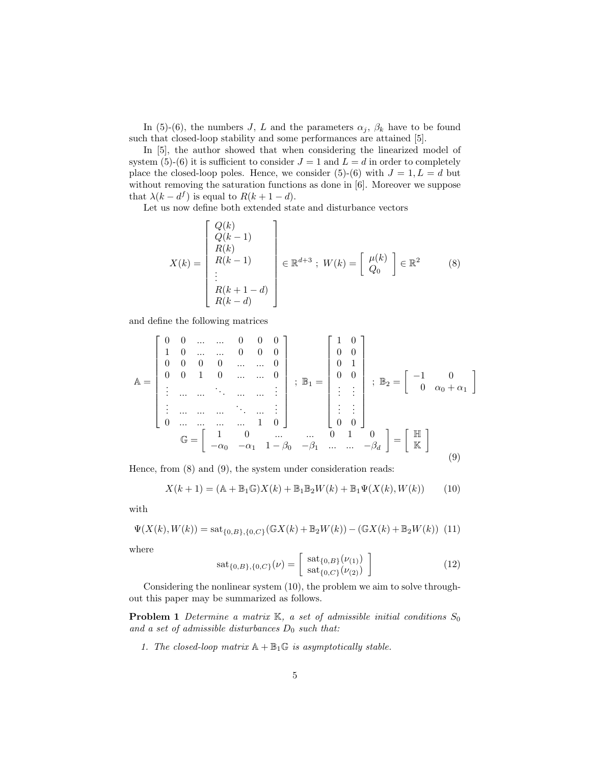In (5)-(6), the numbers J, L and the parameters  $\alpha_j$ ,  $\beta_k$  have to be found such that closed-loop stability and some performances are attained [5].

In [5], the author showed that when considering the linearized model of system (5)-(6) it is sufficient to consider  $J = 1$  and  $L = d$  in order to completely place the closed-loop poles. Hence, we consider (5)-(6) with  $J = 1, L = d$  but without removing the saturation functions as done in [6]. Moreover we suppose that  $\lambda(k - d^f)$  is equal to  $R(k + 1 - d)$ .

Let us now define both extended state and disturbance vectors

$$
X(k) = \begin{bmatrix} Q(k) \\ Q(k-1) \\ R(k) \\ R(k-1) \\ \vdots \\ R(k+1-d) \\ R(k-d) \end{bmatrix} \in \mathbb{R}^{d+3} \; ; \; W(k) = \begin{bmatrix} \mu(k) \\ Q_0 \end{bmatrix} \in \mathbb{R}^2 \qquad (8)
$$

and define the following matrices

$$
\mathbb{A} = \begin{bmatrix} 0 & 0 & \dots & \dots & 0 & 0 & 0 \\ 1 & 0 & \dots & \dots & 0 & 0 & 0 \\ 0 & 0 & 0 & 0 & \dots & \dots & 0 \\ \vdots & \dots & \dots & \ddots & \dots & \dots & \vdots \\ \vdots & \dots & \dots & \dots & \dots & \dots & \vdots \\ 0 & \dots & \dots & \dots & \dots & 1 & 0 \end{bmatrix} ; \mathbb{B}_1 = \begin{bmatrix} 1 & 0 \\ 0 & 0 \\ 0 & 1 \\ \vdots & \vdots \\ 0 & 0 \\ \vdots & \vdots \\ 0 & 0 \end{bmatrix} ; \mathbb{B}_2 = \begin{bmatrix} -1 & 0 \\ 0 & \alpha_0 + \alpha_1 \end{bmatrix}
$$

$$
\mathbb{G} = \begin{bmatrix} 1 & 0 & \dots & \dots & 0 & 1 & 0 \\ -\alpha_0 & -\alpha_1 & 1 - \beta_0 & -\beta_1 & \dots & -\beta_d \end{bmatrix} = \begin{bmatrix} \mathbb{H} \\ \mathbb{K} \end{bmatrix}
$$
(9)

Hence, from (8) and (9), the system under consideration reads:

$$
X(k+1) = (\mathbb{A} + \mathbb{B}_1 \mathbb{G})X(k) + \mathbb{B}_1 \mathbb{B}_2 W(k) + \mathbb{B}_1 \Psi(X(k), W(k))
$$
 (10)

with

$$
\Psi(X(k), W(k)) = \mathrm{sat}_{\{0,B\},\{0,C\}}(\mathbb{G}X(k) + \mathbb{B}_2 W(k)) - (\mathbb{G}X(k) + \mathbb{B}_2 W(k)) \tag{11}
$$

where

$$
sat_{\{0,B\},\{0,C\}}(\nu) = \left[\begin{array}{c} sat_{\{0,B\}}(\nu_{(1)}) \\ sat_{\{0,C\}}(\nu_{(2)}) \end{array}\right]
$$
(12)

Considering the nonlinear system (10), the problem we aim to solve throughout this paper may be summarized as follows.

**Problem 1** Determine a matrix  $K$ , a set of admissible initial conditions  $S_0$ and a set of admissible disturbances  $D_0$  such that:

1. The closed-loop matrix  $\mathbb{A} + \mathbb{B}_1 \mathbb{G}$  is asymptotically stable.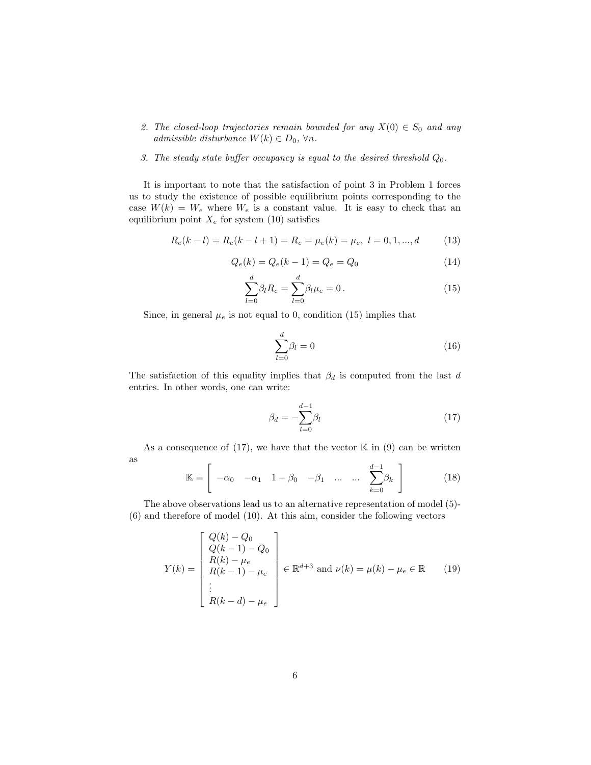2. The closed-loop trajectories remain bounded for any  $X(0) \in S_0$  and any admissible disturbance  $W(k) \in D_0$ ,  $\forall n$ .

#### 3. The steady state buffer occupancy is equal to the desired threshold  $Q_0$ .

It is important to note that the satisfaction of point 3 in Problem 1 forces us to study the existence of possible equilibrium points corresponding to the case  $W(k) = W_e$  where  $W_e$  is a constant value. It is easy to check that an equilibrium point  $X_e$  for system (10) satisfies

$$
R_e(k-l) = R_e(k-l+1) = R_e = \mu_e(k) = \mu_e, \ l = 0, 1, ..., d \qquad (13)
$$

$$
Q_e(k) = Q_e(k-1) = Q_e = Q_0
$$
\n(14)

$$
\sum_{l=0}^{d} \beta_l R_e = \sum_{l=0}^{d} \beta_l \mu_e = 0.
$$
 (15)

Since, in general  $\mu_e$  is not equal to 0, condition (15) implies that

$$
\sum_{l=0}^{d} \beta_l = 0 \tag{16}
$$

The satisfaction of this equality implies that  $\beta_d$  is computed from the last d entries. In other words, one can write:

$$
\beta_d = -\sum_{l=0}^{d-1} \beta_l \tag{17}
$$

As a consequence of  $(17)$ , we have that the vector  $\mathbb K$  in  $(9)$  can be written as "  $\overline{d}$  1 #

$$
\mathbb{K} = \left[ \begin{array}{cccc} -\alpha_0 & -\alpha_1 & 1 - \beta_0 & -\beta_1 & \dots & \dots & \sum_{k=0}^{d-1} \beta_k \end{array} \right] \tag{18}
$$

The above observations lead us to an alternative representation of model (5)- (6) and therefore of model (10). At this aim, consider the following vectors

$$
Y(k) = \begin{bmatrix} Q(k) - Q_0 \\ Q(k-1) - Q_0 \\ R(k) - \mu_e \\ R(k-1) - \mu_e \\ \vdots \\ R(k-d) - \mu_e \end{bmatrix} \in \mathbb{R}^{d+3} \text{ and } \nu(k) = \mu(k) - \mu_e \in \mathbb{R} \qquad (19)
$$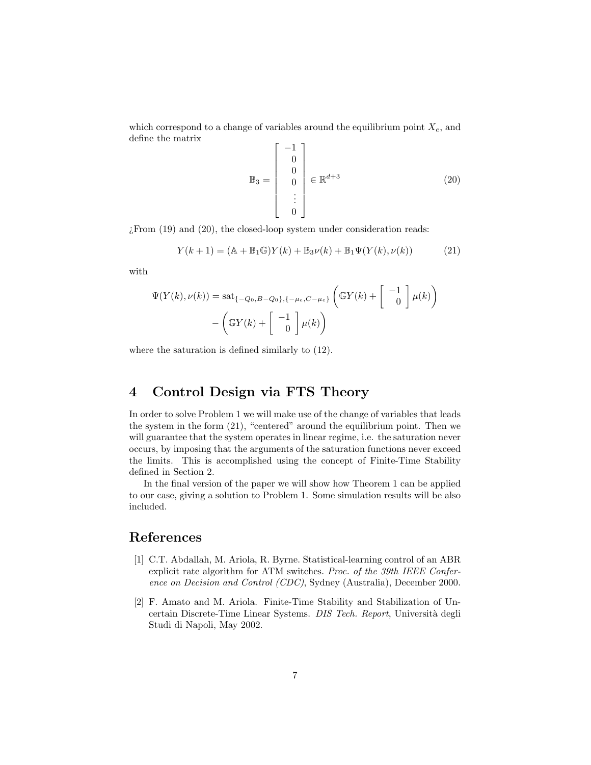which correspond to a change of variables around the equilibrium point  $X_e$ , and define the matrix  $\mathbf{r}$  $-1$ ]

$$
\mathbb{B}_3 = \begin{bmatrix} -1 \\ 0 \\ 0 \\ 0 \\ \vdots \\ 0 \end{bmatrix} \in \mathbb{R}^{d+3} \tag{20}
$$

¿From (19) and (20), the closed-loop system under consideration reads:

$$
Y(k+1) = (A + B_1 G)Y(k) + B_3\nu(k) + B_1\Psi(Y(k), \nu(k))
$$
 (21)

with

$$
\Psi(Y(k), \nu(k)) = \operatorname{sat}_{\{-Q_0, B-Q_0\}, \{-\mu_e, C-\mu_e\}} \left( \mathbb{G}Y(k) + \begin{bmatrix} -1 \\ 0 \end{bmatrix} \mu(k) \right)
$$

$$
- \left( \mathbb{G}Y(k) + \begin{bmatrix} -1 \\ 0 \end{bmatrix} \mu(k) \right)
$$

where the saturation is defined similarly to (12).

#### 4 Control Design via FTS Theory

In order to solve Problem 1 we will make use of the change of variables that leads the system in the form (21), "centered" around the equilibrium point. Then we will guarantee that the system operates in linear regime, i.e. the saturation never occurs, by imposing that the arguments of the saturation functions never exceed the limits. This is accomplished using the concept of Finite-Time Stability defined in Section 2.

In the final version of the paper we will show how Theorem 1 can be applied to our case, giving a solution to Problem 1. Some simulation results will be also included.

#### References

- [1] C.T. Abdallah, M. Ariola, R. Byrne. Statistical-learning control of an ABR explicit rate algorithm for ATM switches. Proc. of the 39th IEEE Conference on Decision and Control (CDC), Sydney (Australia), December 2000.
- [2] F. Amato and M. Ariola. Finite-Time Stability and Stabilization of Uncertain Discrete-Time Linear Systems. DIS Tech. Report, Università degli Studi di Napoli, May 2002.